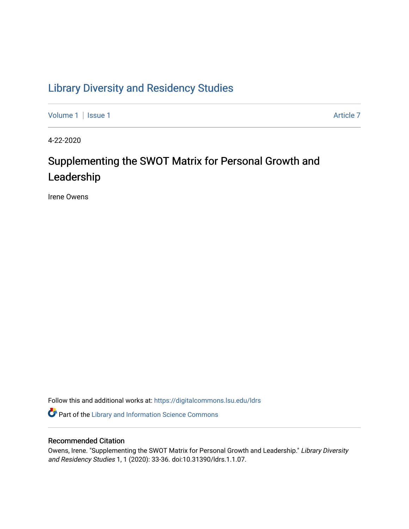## [Library Diversity and Residency Studies](https://digitalcommons.lsu.edu/ldrs)

[Volume 1](https://digitalcommons.lsu.edu/ldrs/vol1) | [Issue 1](https://digitalcommons.lsu.edu/ldrs/vol1/iss1) Article 7

4-22-2020

# Supplementing the SWOT Matrix for Personal Growth and Leadership

Irene Owens

Follow this and additional works at: [https://digitalcommons.lsu.edu/ldrs](https://digitalcommons.lsu.edu/ldrs?utm_source=digitalcommons.lsu.edu%2Fldrs%2Fvol1%2Fiss1%2F7&utm_medium=PDF&utm_campaign=PDFCoverPages) 

Part of the [Library and Information Science Commons](http://network.bepress.com/hgg/discipline/1018?utm_source=digitalcommons.lsu.edu%2Fldrs%2Fvol1%2Fiss1%2F7&utm_medium=PDF&utm_campaign=PDFCoverPages) 

## Recommended Citation

Owens, Irene. "Supplementing the SWOT Matrix for Personal Growth and Leadership." Library Diversity and Residency Studies 1, 1 (2020): 33-36. doi:10.31390/ldrs.1.1.07.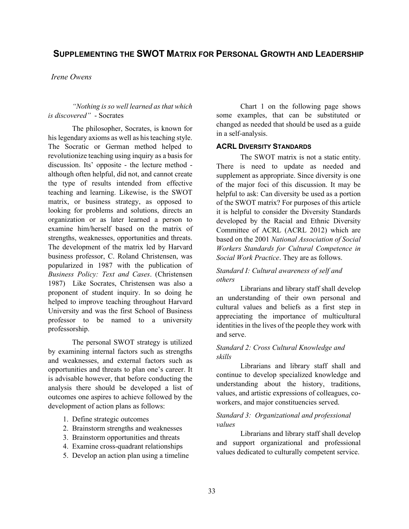## **SUPPLEMENTING THE SWOT MATRIX FOR PERSONAL GROWTH AND LEADERSHIP**

#### *Irene Owens*

### *"Nothing is so well learned as that which is discovered"* - Socrates

 his legendary axioms as well as his teaching style. The Socratic or German method helped to revolutionize teaching using inquiry as a basis for the type of results intended from effective looking for problems and solutions, directs an organization or as later learned a person to The development of the matrix led by Harvard 1987) Like Socrates, Christensen was also a proponent of student inquiry. In so doing he University and was the first School of Business professor to be named to a university The philosopher, Socrates, is known for discussion. Its' opposite - the lecture method although often helpful, did not, and cannot create teaching and learning. Likewise, is the SWOT matrix, or business strategy, as opposed to examine him/herself based on the matrix of strengths, weaknesses, opportunities and threats. business professor, C. Roland Christensen, was popularized in 1987 with the publication of *Business Policy: Text and Cases*. (Christensen helped to improve teaching throughout Harvard professorship.

 by examining internal factors such as strengths is advisable however, that before conducting the The personal SWOT strategy is utilized and weaknesses, and external factors such as opportunities and threats to plan one's career. It analysis there should be developed a list of outcomes one aspires to achieve followed by the development of action plans as follows:

- 1. Define strategic outcomes
- 2. Brainstorm strengths and weaknesses
- 3. Brainstorm opportunities and threats
- 4. Examine cross-quadrant relationships
- 5. Develop an action plan using a timeline

Chart 1 on the following page shows some examples, that can be substituted or changed as needed that should be used as a guide in a self-analysis.

### **ACRL DIVERSITY STANDARDS**

 The SWOT matrix is not a static entity. There is need to update as needed and of the major foci of this discussion. It may be supplement as appropriate. Since diversity is one helpful to ask: Can diversity be used as a portion of the SWOT matrix? For purposes of this article it is helpful to consider the Diversity Standards developed by the Racial and Ethnic Diversity Committee of ACRL (ACRL 2012) which are based on the 2001 *National Association of Social Workers Standards for Cultural Competence in Social Work Practice*. They are as follows.

## *Standard I: Cultural awareness of self and others*

 Librarians and library staff shall develop cultural values and beliefs as a first step in identities in the lives of the people they work with an understanding of their own personal and appreciating the importance of multicultural and serve.

#### *Standard 2: Cross Cultural Knowledge and skills*

 Librarians and library staff shall and understanding about the history, traditions, continue to develop specialized knowledge and values, and artistic expressions of colleagues, coworkers, and major constituencies served.

## *Standard 3: Organizational and professional values*

 Librarians and library staff shall develop and support organizational and professional values dedicated to culturally competent service.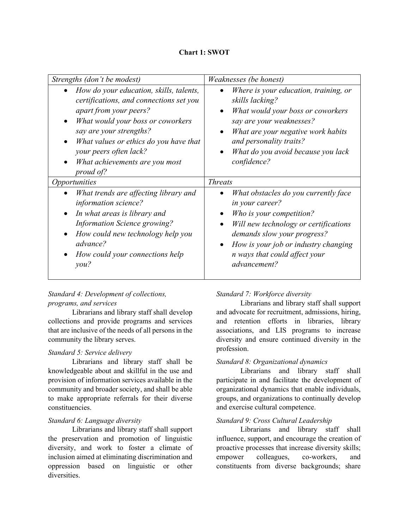|  |  | <b>Chart 1: SWOT</b> |  |
|--|--|----------------------|--|
|--|--|----------------------|--|

| Strengths (don't be modest)                                                                                                                                                                                                                                                                            | Weaknesses (be honest)                                                                                                                                                                                                                                                    |
|--------------------------------------------------------------------------------------------------------------------------------------------------------------------------------------------------------------------------------------------------------------------------------------------------------|---------------------------------------------------------------------------------------------------------------------------------------------------------------------------------------------------------------------------------------------------------------------------|
| How do your education, skills, talents,<br>certifications, and connections set you<br><i>apart from your peers?</i><br>What would your boss or coworkers<br>say are your strengths?<br>What values or ethics do you have that<br>your peers often lack?<br>What achievements are you most<br>proud of? | Where is your education, training, or<br>skills lacking?<br>What would your boss or coworkers<br>$\bullet$<br>say are your weaknesses?<br>What are your negative work habits<br>$\bullet$<br>and personality traits?<br>What do you avoid because you lack<br>confidence? |
| <i><b>Opportunities</b></i>                                                                                                                                                                                                                                                                            | <b>Threats</b>                                                                                                                                                                                                                                                            |
| What trends are affecting library and<br>information science?<br>In what areas is library and<br><b>Information Science growing?</b><br>How could new technology help you<br>advance?<br>How could your connections help<br>you?                                                                       | What obstacles do you currently face<br>in your career?<br>Who is your competition?<br>Will new technology or certifications<br>demands slow your progress?<br>How is your job or industry changing<br><i>n</i> ways that could affect your<br>advancement?               |

## *Standard 4: Development of collections, programs, and services*

 Librarians and library staff shall develop that are inclusive of the needs of all persons in the collections and provide programs and services community the library serves.

## *Standard 5: Service delivery*

 provision of information services available in the Librarians and library staff shall be knowledgeable about and skillful in the use and community and broader society, and shall be able to make appropriate referrals for their diverse constituencies.

## *Standard 6: Language diversity*

 Librarians and library staff shall support the preservation and promotion of linguistic diversity, and work to foster a climate of inclusion aimed at eliminating discrimination and oppression based on linguistic or other diversities.

## *Standard 7: Workforce diversity*

 Librarians and library staff shall support and advocate for recruitment, admissions, hiring, and retention efforts in libraries, library associations, and LIS programs to increase diversity and ensure continued diversity in the profession.

### *Standard 8: Organizational dynamics*

 Librarians and library staff shall participate in and facilitate the development of organizational dynamics that enable individuals, groups, and organizations to continually develop and exercise cultural competence.

### *Standard 9: Cross Cultural Leadership*

 Librarians and library staff shall influence, support, and encourage the creation of proactive processes that increase diversity skills; empower colleagues, co-workers, and constituents from diverse backgrounds; share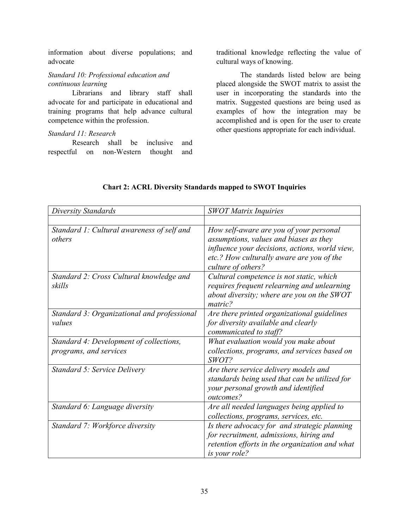advocate information about diverse populations; and

## *Standard 10: Professional education and continuous learning*

 Librarians and library staff shall advocate for and participate in educational and training programs that help advance cultural competence within the profession.

#### *Standard 11: Research*

 respectful on non-Western thought and Research shall be inclusive and  traditional knowledge reflecting the value of cultural ways of knowing.

 user in incorporating the standards into the examples of how the integration may be accomplished and is open for the user to create The standards listed below are being placed alongside the SWOT matrix to assist the matrix. Suggested questions are being used as other questions appropriate for each individual.

| Diversity Standards                                               | <b>SWOT Matrix Inquiries</b>                                                                                                                                                                           |
|-------------------------------------------------------------------|--------------------------------------------------------------------------------------------------------------------------------------------------------------------------------------------------------|
|                                                                   |                                                                                                                                                                                                        |
| Standard 1: Cultural awareness of self and<br>others              | How self-aware are you of your personal<br>assumptions, values and biases as they<br>influence your decisions, actions, world view,<br>etc.? How culturally aware are you of the<br>culture of others? |
| Standard 2: Cross Cultural knowledge and<br>skills                | Cultural competence is not static, which<br>requires frequent relearning and unlearning<br>about diversity; where are you on the SWOT<br>matric?                                                       |
| Standard 3: Organizational and professional<br>values             | Are there printed organizational guidelines<br>for diversity available and clearly<br>communicated to staff?                                                                                           |
| Standard 4: Development of collections,<br>programs, and services | What evaluation would you make about<br>collections, programs, and services based on<br>SWOT?                                                                                                          |
| <b>Standard 5: Service Delivery</b>                               | Are there service delivery models and<br>standards being used that can be utilized for<br>your personal growth and identified<br>outcomes?                                                             |
| Standard 6: Language diversity                                    | Are all needed languages being applied to<br>collections, programs, services, etc.                                                                                                                     |
| Standard 7: Workforce diversity                                   | Is there advocacy for and strategic planning<br>for recruitment, admissions, hiring and<br>retention efforts in the organization and what<br>is your role?                                             |

## **Chart 2: ACRL Diversity Standards mapped to SWOT Inquiries**